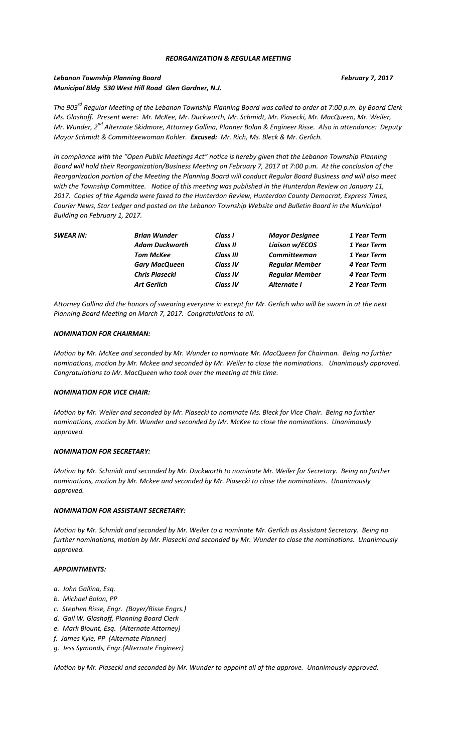#### *REORGANIZATION & REGULAR MEETING*

# *Lebanon Township Planning Board February 7, 2017 Municipal Bldg 530 West Hill Road Glen Gardner, N.J.*

*The 903 rd Regular Meeting of the Lebanon Township Planning Board was called to order at 7:00 p.m. by Board Clerk Ms. Glashoff. Present were: Mr. McKee, Mr. Duckworth, Mr. Schmidt, Mr. Piasecki, Mr. MacQueen, Mr. Weiler, Mr. Wunder, 2nd Alternate Skidmore, Attorney Gallina, Planner Bolan & Engineer Risse. Also in attendance: Deputy Mayor Schmidt & Committeewoman Kohler. Excused: Mr. Rich, Ms. Bleck & Mr. Gerlich.*

*In compliance with the "Open Public Meetings Act" notice is hereby given that the Lebanon Township Planning Board will hold their Reorganization/Business Meeting on February 7, 2017 at 7:00 p.m. At the conclusion of the Reorganization portion of the Meeting the Planning Board will conduct Regular Board Business and will also meet with the Township Committee. Notice of this meeting was published in the Hunterdon Review on January 11, 2017. Copies of the Agenda were faxed to the Hunterdon Review, Hunterdon County Democrat, Express Times, Courier News, Star Ledger and posted on the Lebanon Township Website and Bulletin Board in the Municipal Building on February 1, 2017.*

| SWEAR IN: | <b>Brian Wunder</b>   | Class I         | <b>Mayor Designee</b> | 1 Year Term |
|-----------|-----------------------|-----------------|-----------------------|-------------|
|           | <b>Adam Duckworth</b> | Class II        | Liaison w/ECOS        | 1 Year Term |
|           | <b>Tom McKee</b>      | Class III       | <b>Committeeman</b>   | 1 Year Term |
|           | <b>Gary MacQueen</b>  | Class IV        | <b>Regular Member</b> | 4 Year Term |
|           | <b>Chris Piasecki</b> | Class IV        | <b>Regular Member</b> | 4 Year Term |
|           | <b>Art Gerlich</b>    | <b>Class IV</b> | Alternate I           | 2 Year Term |
|           |                       |                 |                       |             |

*Attorney Gallina did the honors of swearing everyone in except for Mr. Gerlich who will be sworn in at the next Planning Board Meeting on March 7, 2017. Congratulations to all.* 

#### *NOMINATION FOR CHAIRMAN:*

*Motion by Mr. McKee and seconded by Mr. Wunder to nominate Mr. MacQueen for Chairman. Being no further nominations, motion by Mr. Mckee and seconded by Mr. Weiler to close the nominations. Unanimously approved. Congratulations to Mr. MacQueen who took over the meeting at this time.*

#### *NOMINATION FOR VICE CHAIR:*

*Motion by Mr. Weiler and seconded by Mr. Piasecki to nominate Ms. Bleck for Vice Chair. Being no further nominations, motion by Mr. Wunder and seconded by Mr. McKee to close the nominations. Unanimously approved.*

# *NOMINATION FOR SECRETARY:*

*Motion by Mr. Schmidt and seconded by Mr. Duckworth to nominate Mr. Weiler for Secretary. Being no further nominations, motion by Mr. Mckee and seconded by Mr. Piasecki to close the nominations. Unanimously approved.*

#### *NOMINATION FOR ASSISTANT SECRETARY:*

*Motion by Mr. Schmidt and seconded by Mr. Weiler to a nominate Mr. Gerlich as Assistant Secretary. Being no further nominations, motion by Mr. Piasecki and seconded by Mr. Wunder to close the nominations. Unanimously approved.*

#### *APPOINTMENTS:*

- *a. John Gallina, Esq.*
- *b. Michael Bolan, PP*
- *c. Stephen Risse, Engr. (Bayer/Risse Engrs.)*
- *d. Gail W. Glashoff, Planning Board Clerk*
- *e. Mark Blount, Esq. (Alternate Attorney)*
- *f. James Kyle, PP (Alternate Planner)*
- *g. Jess Symonds, Engr.(Alternate Engineer)*

*Motion by Mr. Piasecki and seconded by Mr. Wunder to appoint all of the approve. Unanimously approved.*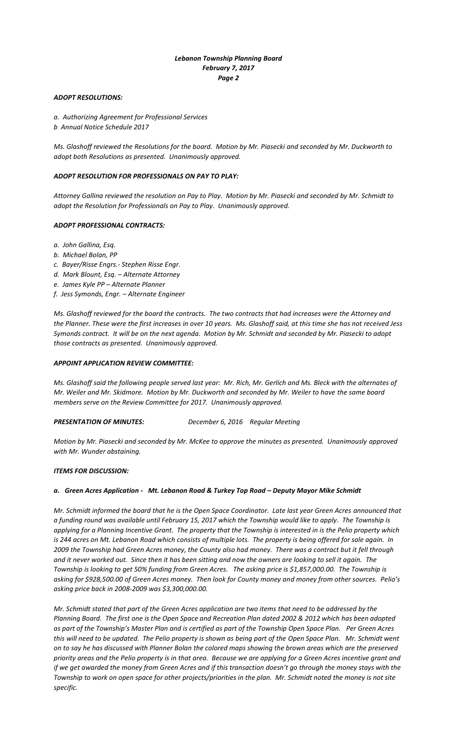## *ADOPT RESOLUTIONS:*

*a. Authorizing Agreement for Professional Services b Annual Notice Schedule 2017*

*Ms. Glashoff reviewed the Resolutions for the board. Motion by Mr. Piasecki and seconded by Mr. Duckworth to adopt both Resolutions as presented. Unanimously approved.*

# *ADOPT RESOLUTION FOR PROFESSIONALS ON PAY TO PLAY:*

*Attorney Gallina reviewed the resolution on Pay to Play. Motion by Mr. Piasecki and seconded by Mr. Schmidt to adopt the Resolution for Professionals on Pay to Play. Unanimously approved.*

## *ADOPT PROFESSIONAL CONTRACTS:*

- *a. John Gallina, Esq.*
- *b. Michael Bolan, PP*
- *c. Bayer/Risse Engrs.- Stephen Risse Engr.*
- *d. Mark Blount, Esq. – Alternate Attorney*
- *e. James Kyle PP – Alternate Planner*
- *f. Jess Symonds, Engr. – Alternate Engineer*

*Ms. Glashoff reviewed for the board the contracts. The two contracts that had increases were the Attorney and the Planner. These were the first increases in over 10 years. Ms. Glashoff said, at this time she has not received Jess Symonds contract. It will be on the next agenda. Motion by Mr. Schmidt and seconded by Mr. Piasecki to adopt those contracts as presented. Unanimously approved.* 

## *APPOINT APPLICATION REVIEW COMMITTEE:*

*Ms. Glashoff said the following people served last year: Mr. Rich, Mr. Gerlich and Ms. Bleck with the alternates of Mr. Weiler and Mr. Skidmore. Motion by Mr. Duckworth and seconded by Mr. Weiler to have the same board members serve on the Review Committee for 2017. Unanimously approved.*

## *PRESENTATION OF MINUTES: December 6, 2016 Regular Meeting*

*Motion by Mr. Piasecki and seconded by Mr. McKee to approve the minutes as presented. Unanimously approved with Mr. Wunder abstaining.*

## *ITEMS FOR DISCUSSION:*

## *a. Green Acres Application - Mt. Lebanon Road & Turkey Top Road – Deputy Mayor Mike Schmidt*

*Mr. Schmidt informed the board that he is the Open Space Coordinator. Late last year Green Acres announced that a funding round was available until February 15, 2017 which the Township would like to apply. The Township is applying for a Planning Incentive Grant. The property that the Township is interested in is the Pelio property which is 244 acres on Mt. Lebanon Road which consists of multiple lots. The property is being offered for sale again. In 2009 the Township had Green Acres money, the County also had money. There was a contract but it fell through and it never worked out. Since then it has been sitting and now the owners are looking to sell it again. The Township is looking to get 50% funding from Green Acres. The asking price is \$1,857,000.00. The Township is asking for \$928,500.00 of Green Acres money. Then look for County money and money from other sources. Pelio's asking price back in 2008-2009 was \$3,300,000.00.* 

*Mr. Schmidt stated that part of the Green Acres application are two items that need to be addressed by the Planning Board. The first one is the Open Space and Recreation Plan dated 2002 & 2012 which has been adopted as part of the Township's Master Plan and is certified as part of the Township Open Space Plan. Per Green Acres this will need to be updated. The Pelio property is shown as being part of the Open Space Plan. Mr. Schmidt went on to say he has discussed with Planner Bolan the colored maps showing the brown areas which are the preserved priority areas and the Pelio property is in that area. Because we are applying for a Green Acres incentive grant and if we get awarded the money from Green Acres and if this transaction doesn't go through the money stays with the Township to work on open space for other projects/priorities in the plan. Mr. Schmidt noted the money is not site specific.*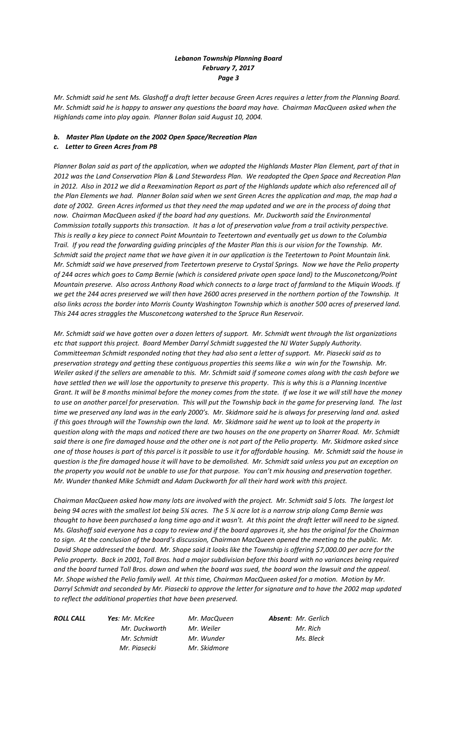*Mr. Schmidt said he sent Ms. Glashoff a draft letter because Green Acres requires a letter from the Planning Board. Mr. Schmidt said he is happy to answer any questions the board may have. Chairman MacQueen asked when the Highlands came into play again. Planner Bolan said August 10, 2004.*

# *b. Master Plan Update on the 2002 Open Space/Recreation Plan*

#### *c. Letter to Green Acres from PB*

*Planner Bolan said as part of the application, when we adopted the Highlands Master Plan Element, part of that in 2012 was the Land Conservation Plan & Land Stewardess Plan. We readopted the Open Space and Recreation Plan in 2012. Also in 2012 we did a Reexamination Report as part of the Highlands update which also referenced all of the Plan Elements we had. Planner Bolan said when we sent Green Acres the application and map, the map had a date of 2002. Green Acres informed us that they need the map updated and we are in the process of doing that now. Chairman MacQueen asked if the board had any questions. Mr. Duckworth said the Environmental Commission totally supports this transaction. It has a lot of preservation value from a trail activity perspective. This is really a key piece to connect Point Mountain to Teetertown and eventually get us down to the Columbia Trail. If you read the forwarding guiding principles of the Master Plan this is our vision for the Township. Mr. Schmidt said the project name that we have given it in our application is the Teetertown to Point Mountain link. Mr. Schmidt said we have preserved from Teetertown preserve to Crystal Springs. Now we have the Pelio property of 244 acres which goes to Camp Bernie (which is considered private open space land) to the Musconetcong/Point Mountain preserve. Also across Anthony Road which connects to a large tract of farmland to the Miquin Woods. If we get the 244 acres preserved we will then have 2600 acres preserved in the northern portion of the Township. It also links across the border into Morris County Washington Township which is another 500 acres of preserved land. This 244 acres straggles the Musconetcong watershed to the Spruce Run Reservoir.* 

*Mr. Schmidt said we have gotten over a dozen letters of support. Mr. Schmidt went through the list organizations etc that support this project. Board Member Darryl Schmidt suggested the NJ Water Supply Authority. Committeeman Schmidt responded noting that they had also sent a letter of support. Mr. Piasecki said as to preservation strategy and getting these contiguous properties this seems like a win win for the Township. Mr. Weiler asked if the sellers are amenable to this. Mr. Schmidt said if someone comes along with the cash before we have settled then we will lose the opportunity to preserve this property. This is why this is a Planning Incentive Grant. It will be 8 months minimal before the money comes from the state. If we lose it we will still have the money to use on another parcel for preservation. This will put the Township back in the game for preserving land. The last time we preserved any land was in the early 2000's. Mr. Skidmore said he is always for preserving land and. asked if this goes through will the Township own the land. Mr. Skidmore said he went up to look at the property in question along with the maps and noticed there are two houses on the one property on Sharrer Road. Mr. Schmidt said there is one fire damaged house and the other one is not part of the Pelio property. Mr. Skidmore asked since one of those houses is part of this parcel is it possible to use it for affordable housing. Mr. Schmidt said the house in question is the fire damaged house it will have to be demolished. Mr. Schmidt said unless you put an exception on the property you would not be unable to use for that purpose. You can't mix housing and preservation together. Mr. Wunder thanked Mike Schmidt and Adam Duckworth for all their hard work with this project.* 

*Chairman MacQueen asked how many lots are involved with the project. Mr. Schmidt said 5 lots. The largest lot being 94 acres with the smallest lot being 5¼ acres. The 5 ¼ acre lot is a narrow strip along Camp Bernie was thought to have been purchased a long time ago and it wasn't. At this point the draft letter will need to be signed. Ms. Glashoff said everyone has a copy to review and if the board approves it, she has the original for the Chairman to sign. At the conclusion of the board's discussion, Chairman MacQueen opened the meeting to the public. Mr. David Shope addressed the board. Mr. Shope said it looks like the Township is offering \$7,000.00 per acre for the Pelio property. Back in 2001, Toll Bros. had a major subdivision before this board with no variances being required and the board turned Toll Bros. down and when the board was sued, the board won the lawsuit and the appeal. Mr. Shope wished the Pelio family well. At this time, Chairman MacQueen asked for a motion. Motion by Mr. Darryl Schmidt and seconded by Mr. Piasecki to approve the letter for signature and to have the 2002 map updated to reflect the additional properties that have been preserved.*

*ROLL CALL Yes: Mr. McKee Mr. MacQueen Absent: Mr. Gerlich Mr. Duckworth Mr. Weiler Mr. Rich Mr. Schmidt Mr. Wunder Ms. Bleck Mr. Piasecki Mr. Skidmore*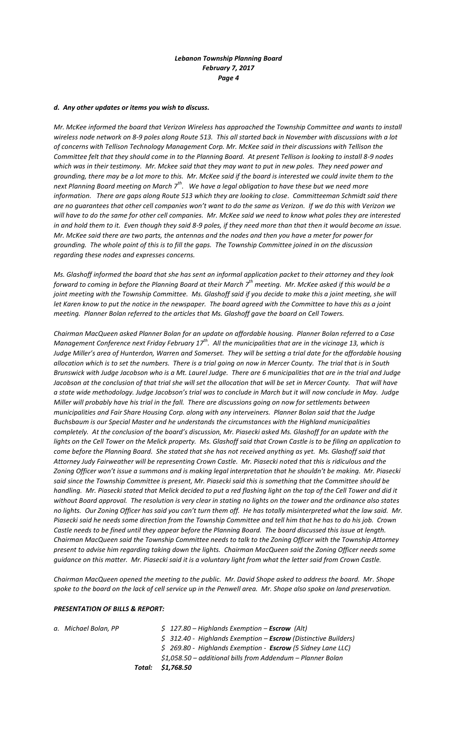## *d. Any other updates or items you wish to discuss.*

*Mr. McKee informed the board that Verizon Wireless has approached the Township Committee and wants to install wireless node network on 8-9 poles along Route 513. This all started back in November with discussions with a lot of concerns with Tellison Technology Management Corp. Mr. McKee said in their discussions with Tellison the Committee felt that they should come in to the Planning Board. At present Tellison is looking to install 8-9 nodes which was in their testimony. Mr. Mckee said that they may want to put in new poles. They need power and grounding, there may be a lot more to this. Mr. McKee said if the board is interested we could invite them to the next Planning Board meeting on March 7th. We have a legal obligation to have these but we need more information. There are gaps along Route 513 which they are looking to close. Committeeman Schmidt said there are no guarantees that other cell companies won't want to do the same as Verizon. If we do this with Verizon we will have to do the same for other cell companies. Mr. McKee said we need to know what poles they are interested in and hold them to it. Even though they said 8-9 poles, if they need more than that then it would become an issue. Mr. McKee said there are two parts, the antennas and the nodes and then you have a meter for power for grounding. The whole point of this is to fill the gaps. The Township Committee joined in on the discussion regarding these nodes and expresses concerns.*

*Ms. Glashoff informed the board that she has sent an informal application packet to their attorney and they look forward to coming in before the Planning Board at their March 7th meeting. Mr. McKee asked if this would be a*  joint meeting with the Township Committee. Ms. Glashoff said if you decide to make this a joint meeting, she will *let Karen know to put the notice in the newspaper. The board agreed with the Committee to have this as a joint meeting. Planner Bolan referred to the articles that Ms. Glashoff gave the board on Cell Towers.*

*Chairman MacQueen asked Planner Bolan for an update on affordable housing. Planner Bolan referred to a Case Management Conference next Friday February 17th. All the municipalities that are in the vicinage 13, which is Judge Miller's area of Hunterdon, Warren and Somerset. They will be setting a trial date for the affordable housing allocation which is to set the numbers. There is a trial going on now in Mercer County. The trial that is in South Brunswick with Judge Jacobson who is a Mt. Laurel Judge. There are 6 municipalities that are in the trial and Judge Jacobson at the conclusion of that trial she will set the allocation that will be set in Mercer County. That will have a state wide methodology. Judge Jacobson's trial was to conclude in March but it will now conclude in May. Judge Miller will probably have his trial in the fall. There are discussions going on now for settlements between municipalities and Fair Share Housing Corp. along with any interveiners. Planner Bolan said that the Judge Buchsbaum is our Special Master and he understands the circumstances with the Highland municipalities completely. At the conclusion of the board's discussion, Mr. Piasecki asked Ms. Glashoff for an update with the lights on the Cell Tower on the Melick property. Ms. Glashoff said that Crown Castle is to be filing an application to come before the Planning Board. She stated that she has not received anything as yet. Ms. Glashoff said that Attorney Judy Fairweather will be representing Crown Castle. Mr. Piasecki noted that this is ridiculous and the Zoning Officer won't issue a summons and is making legal interpretation that he shouldn't be making. Mr. Piasecki said since the Township Committee is present, Mr. Piasecki said this is something that the Committee should be*  handling. Mr. Piasecki stated that Melick decided to put a red flashing light on the top of the Cell Tower and did it *without Board approval. The resolution is very clear in stating no lights on the tower and the ordinance also states no lights. Our Zoning Officer has said you can't turn them off. He has totally misinterpreted what the law said. Mr. Piasecki said he needs some direction from the Township Committee and tell him that he has to do his job. Crown Castle needs to be fined until they appear before the Planning Board. The board discussed this issue at length. Chairman MacQueen said the Township Committee needs to talk to the Zoning Officer with the Township Attorney present to advise him regarding taking down the lights. Chairman MacQueen said the Zoning Officer needs some guidance on this matter. Mr. Piasecki said it is a voluntary light from what the letter said from Crown Castle.*

*Chairman MacQueen opened the meeting to the public. Mr. David Shope asked to address the board. Mr. Shope spoke to the board on the lack of cell service up in the Penwell area. Mr. Shope also spoke on land preservation.*

#### *PRESENTATION OF BILLS & REPORT:*

- *a. Michael Bolan, PP \$ 127.80 – Highlands Exemption – Escrow (Alt)*
	- *\$ 312.40 Highlands Exemption – Escrow (Distinctive Builders)*
	- *\$ 269.80 Highlands Exemption - Escrow (5 Sidney Lane LLC)*
	- *\$1,058.50 – additional bills from Addendum – Planner Bolan*

*Total: \$1,768.50*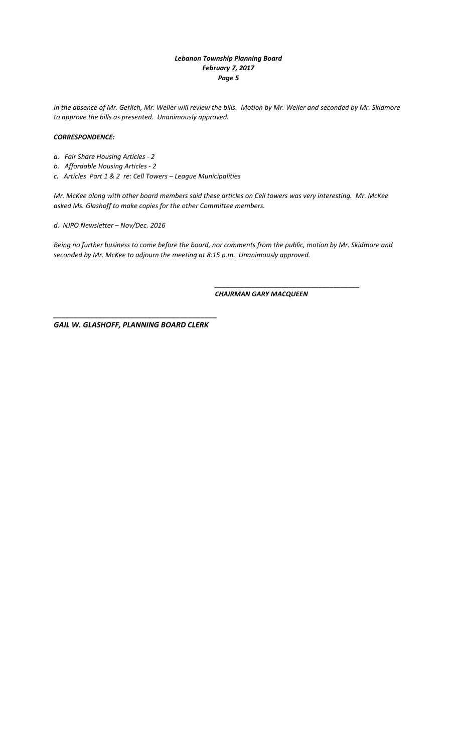*In the absence of Mr. Gerlich, Mr. Weiler will review the bills. Motion by Mr. Weiler and seconded by Mr. Skidmore to approve the bills as presented. Unanimously approved.*

# *CORRESPONDENCE:*

- *a. Fair Share Housing Articles - 2*
- *b. Affordable Housing Articles - 2*
- *c. Articles Part 1 & 2 re: Cell Towers – League Municipalities*

*Mr. McKee along with other board members said these articles on Cell towers was very interesting. Mr. McKee asked Ms. Glashoff to make copies for the other Committee members.*

*d. NJPO Newsletter – Nov/Dec. 2016*

*Being no further business to come before the board, nor comments from the public, motion by Mr. Skidmore and seconded by Mr. McKee to adjourn the meeting at 8:15 p.m. Unanimously approved.*

*CHAIRMAN GARY MACQUEEN*

*\_\_\_\_\_\_\_\_\_\_\_\_\_\_\_\_\_\_\_\_\_\_\_\_\_\_\_\_\_\_\_\_\_\_\_\_\_\_\_*

*\_\_\_\_\_\_\_\_\_\_\_\_\_\_\_\_\_\_\_\_\_\_\_\_\_\_\_\_\_\_\_\_\_\_\_\_\_\_\_\_ GAIL W. GLASHOFF, PLANNING BOARD CLERK*